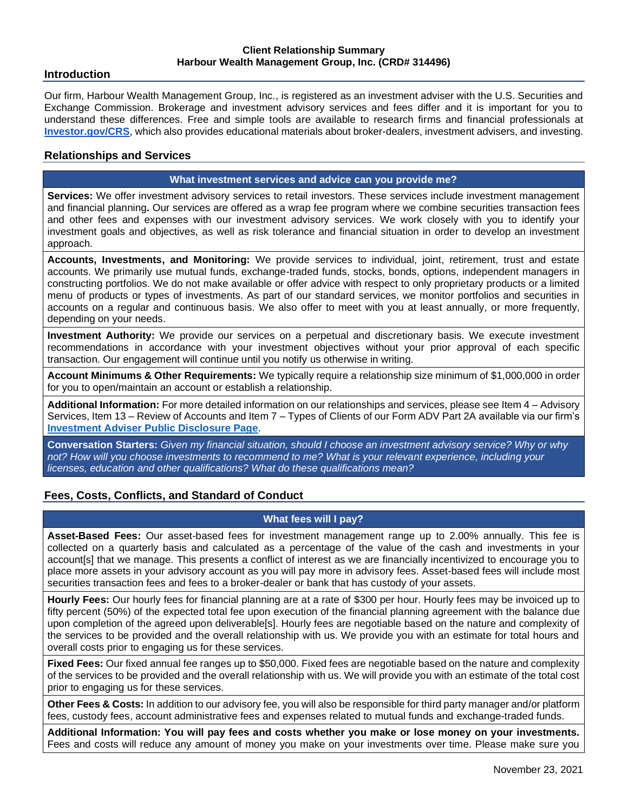#### **Client Relationship Summary Harbour Wealth Management Group, Inc. (CRD# 314496)**

#### **Introduction**

Our firm, Harbour Wealth Management Group, Inc., is registered as an investment adviser with the U.S. Securities and Exchange Commission. Brokerage and investment advisory services and fees differ and it is important for you to understand these differences. Free and simple tools are available to research firms and financial professionals at **[Investor.gov/CRS](http://investor.gov/CRS)**, which also provides educational materials about broker-dealers, investment advisers, and investing.

#### **Relationships and Services**

#### **What investment services and advice can you provide me?**

**Services:** We offer investment advisory services to retail investors. These services include investment management and financial planning**.** Our services are offered as a wrap fee program where we combine securities transaction fees and other fees and expenses with our investment advisory services. We work closely with you to identify your investment goals and objectives, as well as risk tolerance and financial situation in order to develop an investment approach.

**Accounts, Investments, and Monitoring:** We provide services to individual, joint, retirement, trust and estate accounts. We primarily use mutual funds, exchange-traded funds, stocks, bonds, options, independent managers in constructing portfolios. We do not make available or offer advice with respect to only proprietary products or a limited menu of products or types of investments. As part of our standard services, we monitor portfolios and securities in accounts on a regular and continuous basis. We also offer to meet with you at least annually, or more frequently, depending on your needs.

**Investment Authority:** We provide our services on a perpetual and discretionary basis. We execute investment recommendations in accordance with your investment objectives without your prior approval of each specific transaction. Our engagement will continue until you notify us otherwise in writing.

**Account Minimums & Other Requirements:** We typically require a relationship size minimum of \$1,000,000 in order for you to open/maintain an account or establish a relationship.

**Additional Information:** For more detailed information on our relationships and services, please see Item 4 – Advisory Services, Item 13 – Review of Accounts and Item 7 – Types of Clients of our Form ADV Part 2A available via our firm's **[Investment Adviser Public Disclosure Page](https://adviserinfo.sec.gov/firm/brochure/314496)**.

**Conversation Starters:** *Given my financial situation, should I choose an investment advisory service? Why or why not? How will you choose investments to recommend to me? What is your relevant experience, including your licenses, education and other qualifications? What do these qualifications mean?*

## **Fees, Costs, Conflicts, and Standard of Conduct**

## **What fees will I pay?**

**Asset-Based Fees:** Our asset-based fees for investment management range up to 2.00% annually. This fee is collected on a quarterly basis and calculated as a percentage of the value of the cash and investments in your account[s] that we manage. This presents a conflict of interest as we are financially incentivized to encourage you to place more assets in your advisory account as you will pay more in advisory fees. Asset-based fees will include most securities transaction fees and fees to a broker-dealer or bank that has custody of your assets.

**Hourly Fees:** Our hourly fees for financial planning are at a rate of \$300 per hour. Hourly fees may be invoiced up to fifty percent (50%) of the expected total fee upon execution of the financial planning agreement with the balance due upon completion of the agreed upon deliverable[s]. Hourly fees are negotiable based on the nature and complexity of the services to be provided and the overall relationship with us. We provide you with an estimate for total hours and overall costs prior to engaging us for these services.

**Fixed Fees:** Our fixed annual fee ranges up to \$50,000. Fixed fees are negotiable based on the nature and complexity of the services to be provided and the overall relationship with us. We will provide you with an estimate of the total cost prior to engaging us for these services.

**Other Fees & Costs:** In addition to our advisory fee, you will also be responsible for third party manager and/or platform fees, custody fees, account administrative fees and expenses related to mutual funds and exchange-traded funds.

**Additional Information: You will pay fees and costs whether you make or lose money on your investments.**  Fees and costs will reduce any amount of money you make on your investments over time. Please make sure you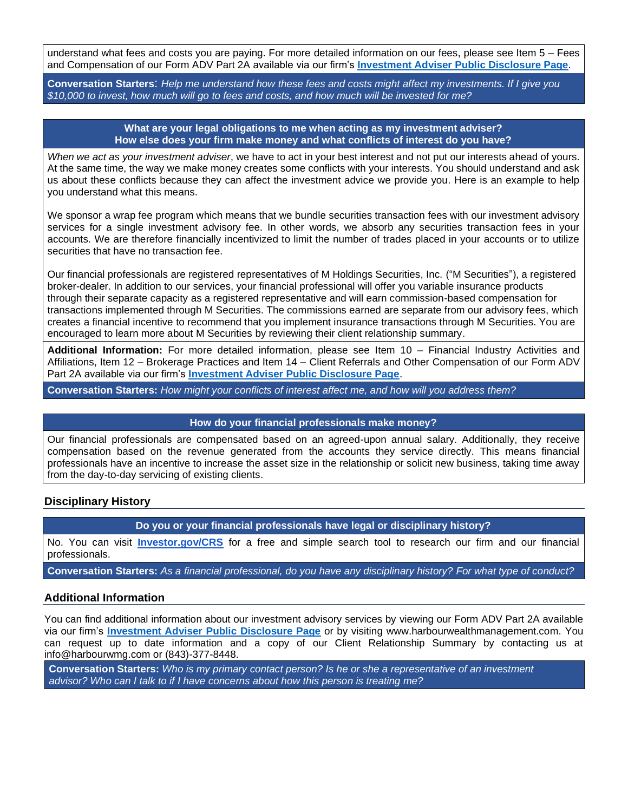understand what fees and costs you are paying. For more detailed information on our fees, please see Item 5 – Fees and Compensation of our Form ADV Part 2A available via our firm's **Investment [Adviser Public Disclosure Page](https://adviserinfo.sec.gov/firm/brochure/314496)**.

**Conversation Starters**: *Help me understand how these fees and costs might affect my investments. If I give you \$10,000 to invest, how much will go to fees and costs, and how much will be invested for me?*

#### **What are your legal obligations to me when acting as my investment adviser? How else does your firm make money and what conflicts of interest do you have?**

*When we act as your investment adviser*, we have to act in your best interest and not put our interests ahead of yours. At the same time, the way we make money creates some conflicts with your interests. You should understand and ask us about these conflicts because they can affect the investment advice we provide you. Here is an example to help you understand what this means.

We sponsor a wrap fee program which means that we bundle securities transaction fees with our investment advisory services for a single investment advisory fee. In other words, we absorb any securities transaction fees in your accounts. We are therefore financially incentivized to limit the number of trades placed in your accounts or to utilize securities that have no transaction fee.

Our financial professionals are registered representatives of M Holdings Securities, Inc. ("M Securities"), a registered broker-dealer. In addition to our services, your financial professional will offer you variable insurance products through their separate capacity as a registered representative and will earn commission-based compensation for transactions implemented through M Securities. The commissions earned are separate from our advisory fees, which creates a financial incentive to recommend that you implement insurance transactions through M Securities. You are encouraged to learn more about M Securities by reviewing their client relationship summary.

**Additional Information:** For more detailed information, please see Item 10 – Financial Industry Activities and Affiliations, Item 12 – Brokerage Practices and Item 14 – Client Referrals and Other Compensation of our Form ADV Part 2A available via our firm's **[Investment Adviser Public Disclosure Page](https://adviserinfo.sec.gov/firm/brochure/314496)**.

**Conversation Starters:** *How might your conflicts of interest affect me, and how will you address them?*

#### **How do your financial professionals make money?**

Our financial professionals are compensated based on an agreed-upon annual salary. Additionally, they receive compensation based on the revenue generated from the accounts they service directly. This means financial professionals have an incentive to increase the asset size in the relationship or solicit new business, taking time away from the day-to-day servicing of existing clients.

## **Disciplinary History**

**Do you or your financial professionals have legal or disciplinary history?**

No. You can visit **[Investor.gov/CRS](http://investor.gov/CRS)** for a free and simple search tool to research our firm and our financial professionals.

**Conversation Starters:** *As a financial professional, do you have any disciplinary history? For what type of conduct?*

## **Additional Information**

You can find additional information about our investment advisory services by viewing our Form ADV Part 2A available via our firm's **[Investment Adviser Public Disclosure Page](https://adviserinfo.sec.gov/firm/brochure/314496)** or by visiting www.harbourwealthmanagement.com. You can request up to date information and a copy of our Client Relationship Summary by contacting us at info@harbourwmg.com or (843)-377-8448.

**Conversation Starters:** *Who is my primary contact person? Is he or she a representative of an investment advisor? Who can I talk to if I have concerns about how this person is treating me?*